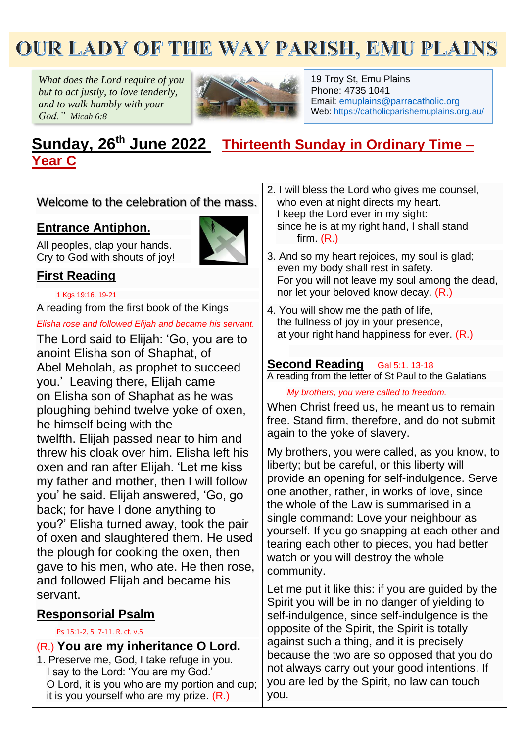# **OUR LADY OF THE WAY PARISH, EMU PLAINS**

*What does the Lord require of you but to act justly, to love tenderly, and to walk humbly with your God." Micah 6:8*



19 Troy St, Emu Plains Phone: 4735 1041 Email: [emuplains@parracatholic.org](mailto:emuplains@parracatholic.org) Web:<https://catholicparishemuplains.org.au/>

# **Sunday, 26th June 2022 Thirteenth Sunday in Ordinary Time – Year C**

Welcome to the celebration of the mass.

# **Entrance Antiphon.**

All peoples, clap your hands. Cry to God with shouts of joy!



# **First Reading**

[1 Kgs 19:16. 19-21](https://liturgyhelp.com/ritual/lectionary/LectionaryList%7Ckg1#kg1019)

A reading from the first book of the Kings

#### *Elisha rose and followed Elijah and became his servant.*

The Lord said to Elijah: 'Go, you are to anoint Elisha son of Shaphat, of Abel Meholah, as prophet to succeed you.' Leaving there, Elijah came on Elisha son of Shaphat as he was ploughing behind twelve yoke of oxen, he himself being with the twelfth. Elijah passed near to him and threw his cloak over him. Elisha left his oxen and ran after Elijah. 'Let me kiss my father and mother, then I will follow you' he said. Elijah answered, 'Go, go back; for have I done anything to you?' Elisha turned away, took the pair of oxen and slaughtered them. He used the plough for cooking the oxen, then gave to his men, who ate. He then rose, and followed Elijah and became his servant.

# **Responsorial Psalm**

[Ps 15:1-2. 5. 7-11. R. cf. v.5](https://liturgyhelp.com/ritual/lectionary/LectionaryListPsalm%7Cpsm)

#### (R.) **You are my inheritance O Lord.** 1. Preserve me, God, I take refuge in you. I say to the Lord: 'You are my God.'

O Lord, it is you who are my portion and cup; it is you yourself who are my prize. (R.)

- 2. I will bless the Lord who gives me counsel, who even at night directs my heart. I keep the Lord ever in my sight: since he is at my right hand, I shall stand firm. (R.)
- 3. And so my heart rejoices, my soul is glad; even my body shall rest in safety. For you will not leave my soul among the dead, nor let your beloved know decay. (R.)
- 4. You will show me the path of life, the fullness of joy in your presence, at your right hand happiness for ever. (R.)

# **Second Reading Gal 5:1. 13-18**

A reading from the letter of St Paul to the Galatians

## *My brothers, you were called to freedom.*

When Christ freed us, he meant us to remain free. Stand firm, therefore, and do not submit again to the yoke of slavery.

My brothers, you were called, as you know, to liberty; but be careful, or this liberty will provide an opening for self-indulgence. Serve one another, rather, in works of love, since the whole of the Law is summarised in a single command: Love your neighbour as yourself. If you go snapping at each other and tearing each other to pieces, you had better watch or you will destroy the whole community.

Let me put it like this: if you are guided by the Spirit you will be in no danger of yielding to self-indulgence, since self-indulgence is the opposite of the Spirit, the Spirit is totally against such a thing, and it is precisely because the two are so opposed that you do not always carry out your good intentions. If you are led by the Spirit, no law can touch you.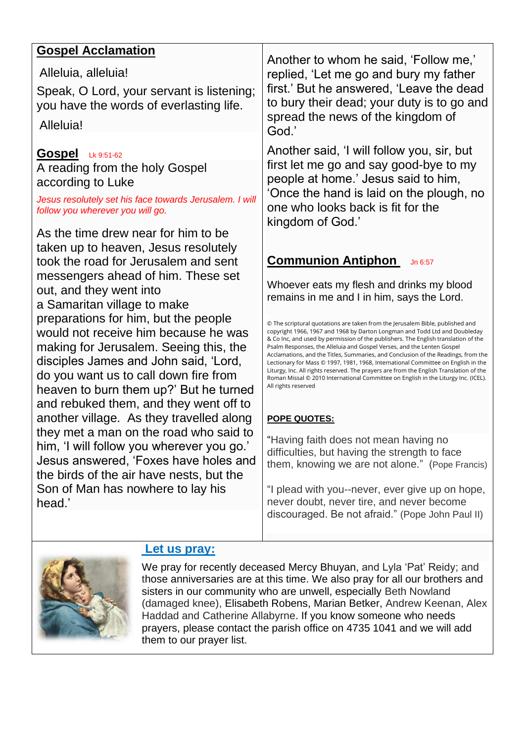| <b>Gospel Acclamation</b>                                                                                                              | Another to whom he said, 'Follow me,'                                                                                                                                       |
|----------------------------------------------------------------------------------------------------------------------------------------|-----------------------------------------------------------------------------------------------------------------------------------------------------------------------------|
| Alleluia, alleluia!                                                                                                                    | replied, 'Let me go and bury my father                                                                                                                                      |
| Speak, O Lord, your servant is listening;                                                                                              | first.' But he answered, 'Leave the dead                                                                                                                                    |
| you have the words of everlasting life.                                                                                                | to bury their dead; your duty is to go and                                                                                                                                  |
| Alleluia!                                                                                                                              | spread the news of the kingdom of<br>God.'                                                                                                                                  |
| <b>Gospel</b><br>Lk 9:51-62                                                                                                            | Another said, 'I will follow you, sir, but                                                                                                                                  |
| A reading from the holy Gospel<br>according to Luke                                                                                    | first let me go and say good-bye to my<br>people at home.' Jesus said to him,                                                                                               |
| Jesus resolutely set his face towards Jerusalem. I will<br>follow you wherever you will go.                                            | 'Once the hand is laid on the plough, no<br>one who looks back is fit for the                                                                                               |
| As the time drew near for him to be                                                                                                    | kingdom of God.'                                                                                                                                                            |
| taken up to heaven, Jesus resolutely                                                                                                   |                                                                                                                                                                             |
| took the road for Jerusalem and sent                                                                                                   | <b>Communion Antiphon</b><br>Jn 6:57                                                                                                                                        |
| messengers ahead of him. These set                                                                                                     | Whoever eats my flesh and drinks my blood                                                                                                                                   |
| out, and they went into<br>a Samaritan village to make                                                                                 | remains in me and I in him, says the Lord.                                                                                                                                  |
| preparations for him, but the people                                                                                                   | © The scriptural quotations are taken from the Jerusalem Bible, published and                                                                                               |
| would not receive him because he was                                                                                                   | copyright 1966, 1967 and 1968 by Darton Longman and Todd Ltd and Doubleday<br>& Co Inc, and used by permission of the publishers. The English translation of the            |
| making for Jerusalem. Seeing this, the                                                                                                 | Psalm Responses, the Alleluia and Gospel Verses, and the Lenten Gospel<br>Acclamations, and the Titles, Summaries, and Conclusion of the Readings, from the                 |
| disciples James and John said, 'Lord,<br>do you want us to call down fire from                                                         | Lectionary for Mass © 1997, 1981, 1968, International Committee on English in the<br>Liturgy, Inc. All rights reserved. The prayers are from the English Translation of the |
| heaven to burn them up?' But he turned                                                                                                 | Roman Missal © 2010 International Committee on English in the Liturgy Inc. (ICEL).<br>All rights reserved                                                                   |
| and rebuked them, and they went off to                                                                                                 |                                                                                                                                                                             |
| another village. As they travelled along                                                                                               | <b>POPE QUOTES:</b>                                                                                                                                                         |
|                                                                                                                                        | "Having faith does not mean having no                                                                                                                                       |
|                                                                                                                                        | difficulties, but having the strength to face                                                                                                                               |
| the birds of the air have nests, but the                                                                                               |                                                                                                                                                                             |
| Son of Man has nowhere to lay his                                                                                                      | "I plead with you--never, ever give up on hope,                                                                                                                             |
|                                                                                                                                        |                                                                                                                                                                             |
| they met a man on the road who said to<br>him, 'I will follow you wherever you go.'<br>Jesus answered, 'Foxes have holes and<br>head.' | them, knowing we are not alone." (Pope Francis)<br>never doubt, never tire, and never become<br>discouraged. Be not afraid." (Pope John Paul II)                            |



# **Let us pray:**

We pray for recently deceased Mercy Bhuyan, and Lyla 'Pat' Reidy; and those anniversaries are at this time. We also pray for all our brothers and sisters in our community who are unwell, especially Beth Nowland (damaged knee), Elisabeth Robens, Marian Betker, Andrew Keenan, Alex Haddad and Catherine Allabyrne. If you know someone who needs prayers, please contact the parish office on 4735 1041 and we will add them to our prayer list.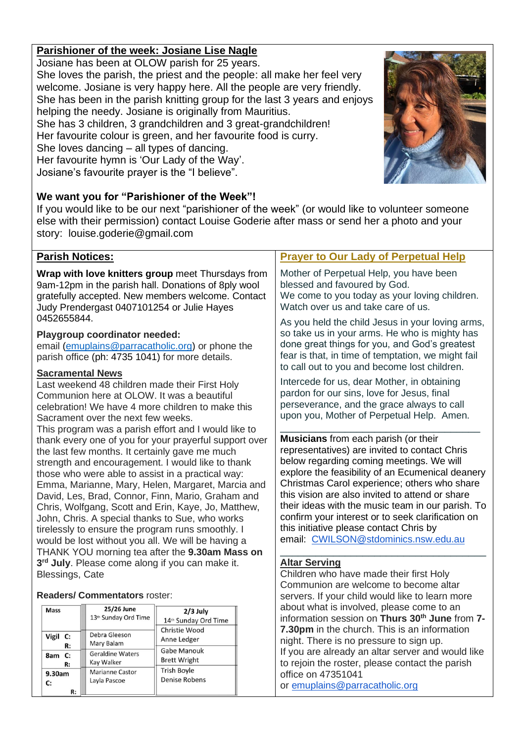# **Parishioner of the week: Josiane Lise Nagle**

Josiane has been at OLOW parish for 25 years.

She loves the parish, the priest and the people: all make her feel very welcome. Josiane is very happy here. All the people are very friendly. She has been in the parish knitting group for the last 3 years and enjoys helping the needy. Josiane is originally from Mauritius.

She has 3 children, 3 grandchildren and 3 great-grandchildren! Her favourite colour is green, and her favourite food is curry.

She loves dancing – all types of dancing.

Her favourite hymn is 'Our Lady of the Way'.

Josiane's favourite prayer is the "I believe".

# **We want you for "Parishioner of the Week"!**

If you would like to be our next "parishioner of the week" (or would like to volunteer someone else with their permission) contact Louise Goderie after mass or send her a photo and your story: louise.goderie@gmail.com

# **Parish Notices:**

**Wrap with love knitters group** meet Thursdays from 9am-12pm in the parish hall. Donations of 8ply wool gratefully accepted. New members welcome. Contact Judy Prendergast 0407101254 or Julie Hayes 0452655844.

## **Playgroup coordinator needed:**

email [\(emuplains@parracatholic.org\)](mailto:emuplains@parracatholic.org) or phone the parish office (ph: 4735 1041) for more details.

#### **Sacramental News**

Last weekend 48 children made their First Holy Communion here at OLOW. It was a beautiful celebration! We have 4 more children to make this Sacrament over the next few weeks.

This program was a parish effort and I would like to thank every one of you for your prayerful support over the last few months. It certainly gave me much strength and encouragement. I would like to thank those who were able to assist in a practical way: Emma, Marianne, Mary, Helen, Margaret, Marcia and David, Les, Brad, Connor, Finn, Mario, Graham and Chris, Wolfgang, Scott and Erin, Kaye, Jo, Matthew, John, Chris. A special thanks to Sue, who works tirelessly to ensure the program runs smoothly. I would be lost without you all. We will be having a THANK YOU morning tea after the **9.30am Mass on 3 rd July**. Please come along if you can make it. Blessings, Cate

#### **Readers/ Commentators** roster:

| <b>Mass</b> | 25/26 June<br>13 <sup>th</sup> Sunday Ord Time | $2/3$ July<br>14th Sunday Ord Time |
|-------------|------------------------------------------------|------------------------------------|
| Vigil C:    | Debra Gleeson                                  | Christie Wood                      |
| R:          | Mary Balam                                     | Anne Ledger                        |
| 8am C:      | <b>Geraldine Waters</b>                        | Gabe Manouk                        |
| R:          | <b>Kay Walker</b>                              | <b>Brett Wright</b>                |
| 9.30am      | <b>Marianne Castor</b>                         | <b>Trish Boyle</b>                 |
| C:          | Layla Pascoe                                   | <b>Denise Robens</b>               |
| R:          |                                                |                                    |

# **Prayer to Our Lady of Perpetual Help**

Mother of Perpetual Help, you have been blessed and favoured by God. We come to you today as your loving children. Watch over us and take care of us.

As you held the child Jesus in your loving arms, so take us in your arms. He who is mighty has done great things for you, and God's greatest fear is that, in time of temptation, we might fail to call out to you and become lost children.

Intercede for us, dear Mother, in obtaining pardon for our sins, love for Jesus, final perseverance, and the grace always to call upon you, Mother of Perpetual Help. Amen.

\_\_\_\_\_\_\_\_\_\_\_\_\_\_\_\_\_\_\_\_\_\_\_\_\_\_\_\_\_\_\_\_\_\_ **Musicians** from each parish (or their representatives) are invited to contact Chris below regarding coming meetings. We will explore the feasibility of an Ecumenical deanery Christmas Carol experience; others who share this vision are also invited to attend or share their ideas with the music team in our parish. To confirm your interest or to seek clarification on this initiative please contact Chris by email: [CWILSON@stdominics.nsw.edu.au](mailto:CWILSON@stdominics.nsw.edu.au)

#### \_\_\_\_\_\_\_\_\_\_\_\_\_\_\_\_\_\_\_\_\_\_\_\_\_\_\_\_\_\_\_\_\_\_\_ **Altar Serving**

Children who have made their first Holy Communion are welcome to become altar servers. If your child would like to learn more about what is involved, please come to an information session on **Thurs 30th June** from **7- 7.30pm** in the church. This is an information night. There is no pressure to sign up. If you are already an altar server and would like to rejoin the roster, please contact the parish office on 47351041 or [emuplains@parracatholic.org](mailto:emuplains@parracatholic.org)

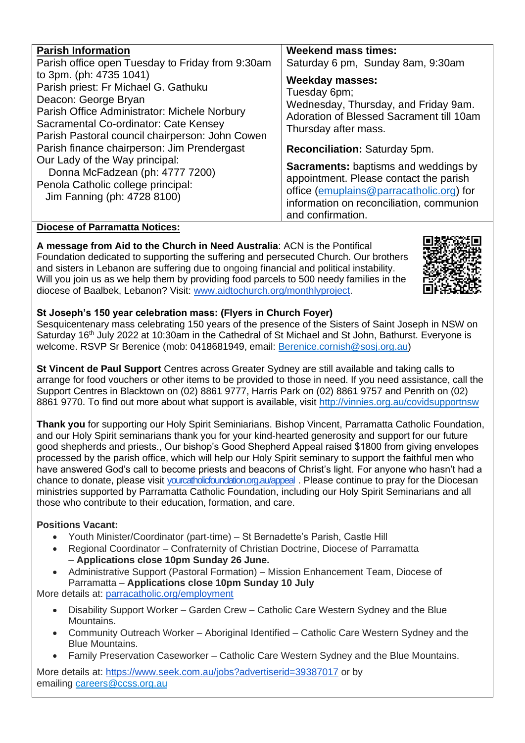| <b>Parish Information</b>                                                                                                                                                                                                           | <b>Weekend mass times:</b>                                                                                                                                                                         |
|-------------------------------------------------------------------------------------------------------------------------------------------------------------------------------------------------------------------------------------|----------------------------------------------------------------------------------------------------------------------------------------------------------------------------------------------------|
| Parish office open Tuesday to Friday from 9:30am                                                                                                                                                                                    | Saturday 6 pm, Sunday 8am, 9:30am                                                                                                                                                                  |
| to 3pm. (ph: 4735 1041)<br>Parish priest: Fr Michael G. Gathuku<br>Deacon: George Bryan<br>Parish Office Administrator: Michele Norbury<br>Sacramental Co-ordinator: Cate Kensey<br>Parish Pastoral council chairperson: John Cowen | <b>Weekday masses:</b><br>Tuesday 6pm;<br>Wednesday, Thursday, and Friday 9am.<br>Adoration of Blessed Sacrament till 10am<br>Thursday after mass.                                                 |
| Parish finance chairperson: Jim Prendergast                                                                                                                                                                                         | Reconciliation: Saturday 5pm.                                                                                                                                                                      |
| Our Lady of the Way principal:<br>Donna McFadzean (ph: 4777 7200)<br>Penola Catholic college principal:<br>Jim Fanning (ph: 4728 8100)                                                                                              | <b>Sacraments:</b> baptisms and weddings by<br>appointment. Please contact the parish<br>office (emuplains@parracatholic.org) for<br>information on reconciliation, communion<br>and confirmation. |

## **Diocese of Parramatta Notices:**

**A message from Aid to the Church in Need Australia**: ACN is the Pontifical Foundation dedicated to supporting the suffering and persecuted Church. Our brothers and sisters in Lebanon are suffering due to ongoing financial and political instability. Will you join us as we help them by providing food parcels to 500 needy families in the diocese of Baalbek, Lebanon? Visit: [www.aidtochurch.org/monthlyproject.](http://www.aidtochurch.org/monthlyproject)



#### **St Joseph's 150 year celebration mass: (Flyers in Church Foyer)**

Sesquicentenary mass celebrating 150 years of the presence of the Sisters of Saint Joseph in NSW on Saturday 16<sup>th</sup> July 2022 at 10:30am in the Cathedral of St Michael and St John, Bathurst. Everyone is welcome. RSVP Sr Berenice (mob: 0418681949, email: [Berenice.cornish@sosj.org.au\)](mailto:Berenice.cornish@sosj.org.au)

**St Vincent de Paul Support** Centres across Greater Sydney are still available and taking calls to arrange for food vouchers or other items to be provided to those in need. If you need assistance, call the Support Centres in Blacktown on (02) 8861 9777, Harris Park on (02) 8861 9757 and Penrith on (02) 8861 9770. To find out more about what support is available, visit <http://vinnies.org.au/covidsupportnsw>

**Thank you** for supporting our Holy Spirit Seminiarians. Bishop Vincent, Parramatta Catholic Foundation, and our Holy Spirit seminarians thank you for your kind-hearted generosity and support for our future good shepherds and priests., Our bishop's Good Shepherd Appeal raised \$1800 from giving envelopes processed by the parish office, which will help our Holy Spirit seminary to support the faithful men who have answered God's call to become priests and beacons of Christ's light. For anyone who hasn't had a chance to donate, please visit [yourcatholicfoundation.org.au/appeal](http://yourcatholicfoundation.org.au/appeal) . Please continue to pray for the Diocesan ministries supported by Parramatta Catholic Foundation, including our Holy Spirit Seminarians and all those who contribute to their education, formation, and care.

# **Positions Vacant:**

- Youth Minister/Coordinator (part-time) St Bernadette's Parish, Castle Hill
- Regional Coordinator Confraternity of Christian Doctrine, Diocese of Parramatta – **Applications close 10pm Sunday 26 June.**
- Administrative Support (Pastoral Formation) Mission Enhancement Team, Diocese of Parramatta – **Applications close 10pm Sunday 10 July**

More details at: [parracatholic.org/employment](http://parracatholic.org/employment)

- Disability Support Worker Garden Crew Catholic Care Western Sydney and the Blue Mountains.
- Community Outreach Worker Aboriginal Identified Catholic Care Western Sydney and the Blue Mountains.
- Family Preservation Caseworker Catholic Care Western Sydney and the Blue Mountains.

More details at: <https://www.seek.com.au/jobs?advertiserid=39387017> or by emailing [careers@ccss.org.au](mailto:careers@ccss.org.au)